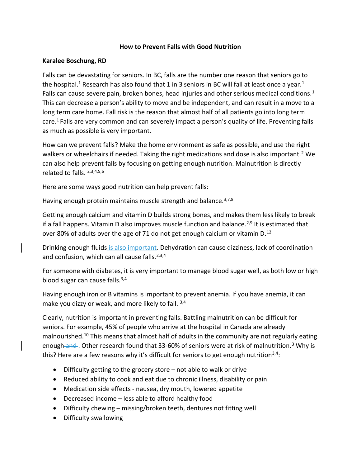## How to Prevent Falls with Good Nutrition

## Karalee Boschung, RD

Falls can be devastating for seniors. In BC, falls are the number one reason that seniors go to the hospital.<sup>1</sup> Research has also found that 1 in 3 seniors in BC will fall at least once a year.<sup>1</sup> Falls can cause severe pain, broken bones, head injuries and other serious medical conditions.<sup>1</sup> This can decrease a person's ability to move and be independent, and can result in a move to a long term care home. Fall risk is the reason that almost half of all patients go into long term care.<sup>1</sup> Falls are very common and can severely impact a person's quality of life. Preventing falls as much as possible is very important.

How can we prevent falls? Make the home environment as safe as possible, and use the right walkers or wheelchairs if needed. Taking the right medications and dose is also important.<sup>2</sup> We can also help prevent falls by focusing on getting enough nutrition. Malnutrition is directly related to falls. <sup>2,3,4,5,6</sup>

Here are some ways good nutrition can help prevent falls:

Having enough protein maintains muscle strength and balance.<sup>3,7,8</sup>

Getting enough calcium and vitamin D builds strong bones, and makes them less likely to break if a fall happens. Vitamin D also improves muscle function and balance.<sup>2,9</sup> It is estimated that over 80% of adults over the age of 71 do not get enough calcium or vitamin D.<sup>12</sup>

Drinking enough fluids is also important. Dehydration can cause dizziness, lack of coordination and confusion, which can all cause falls.<sup>2,3,4</sup>

For someone with diabetes, it is very important to manage blood sugar well, as both low or high blood sugar can cause falls.<sup>3,4</sup>

Having enough iron or B vitamins is important to prevent anemia. If you have anemia, it can make you dizzy or weak, and more likely to fall. 3,4

Clearly, nutrition is important in preventing falls. Battling malnutrition can be difficult for seniors. For example, 45% of people who arrive at the hospital in Canada are already malnourished.<sup>10</sup> This means that almost half of adults in the community are not regularly eating enough and . Other research found that 33-60% of seniors were at risk of malnutrition.<sup>3</sup> Why is this? Here are a few reasons why it's difficult for seniors to get enough nutrition<sup>3,4</sup>:

- Difficulty getting to the grocery store not able to walk or drive
- Reduced ability to cook and eat due to chronic illness, disability or pain
- Medication side effects nausea, dry mouth, lowered appetite
- Decreased income less able to afford healthy food
- Difficulty chewing missing/broken teeth, dentures not fitting well
- Difficulty swallowing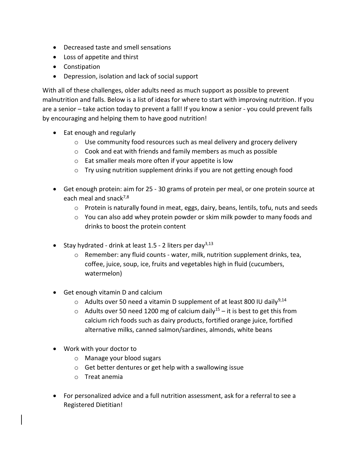- Decreased taste and smell sensations
- Loss of appetite and thirst
- Constipation
- Depression, isolation and lack of social support

With all of these challenges, older adults need as much support as possible to prevent malnutrition and falls. Below is a list of ideas for where to start with improving nutrition. If you are a senior – take action today to prevent a fall! If you know a senior - you could prevent falls by encouraging and helping them to have good nutrition!

- Eat enough and regularly
	- o Use community food resources such as meal delivery and grocery delivery
	- $\circ$  Cook and eat with friends and family members as much as possible
	- o Eat smaller meals more often if your appetite is low
	- o Try using nutrition supplement drinks if you are not getting enough food
- Get enough protein: aim for 25 30 grams of protein per meal, or one protein source at each meal and snack<sup>7,8</sup>
	- $\circ$  Protein is naturally found in meat, eggs, dairy, beans, lentils, tofu, nuts and seeds
	- o You can also add whey protein powder or skim milk powder to many foods and drinks to boost the protein content
- Stay hydrated drink at least  $1.5$  2 liters per day<sup>3,13</sup>
	- o Remember: any fluid counts water, milk, nutrition supplement drinks, tea, coffee, juice, soup, ice, fruits and vegetables high in fluid (cucumbers, watermelon)
- Get enough vitamin D and calcium
	- $\circ$  Adults over 50 need a vitamin D supplement of at least 800 IU daily<sup>9,14</sup>
	- $\circ$  Adults over 50 need 1200 mg of calcium daily<sup>15</sup> it is best to get this from calcium rich foods such as dairy products, fortified orange juice, fortified alternative milks, canned salmon/sardines, almonds, white beans
- Work with your doctor to
	- o Manage your blood sugars
	- o Get better dentures or get help with a swallowing issue
	- o Treat anemia
- For personalized advice and a full nutrition assessment, ask for a referral to see a Registered Dietitian!